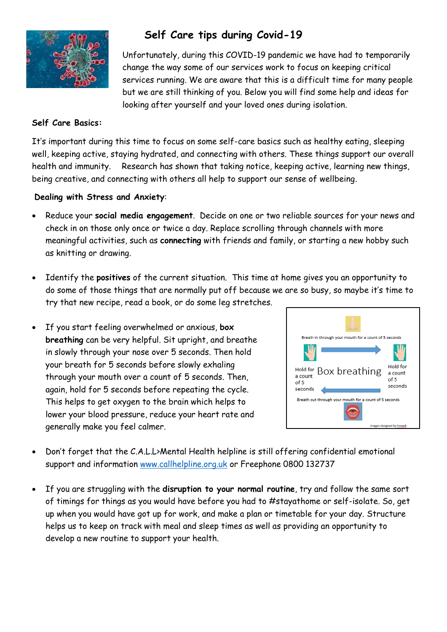

# **Self Care tips during Covid-19**

Unfortunately, during this COVID-19 pandemic we have had to temporarily change the way some of our services work to focus on keeping critical services running. We are aware that this is a difficult time for many people but we are still thinking of you. Below you will find some help and ideas for looking after yourself and your loved ones during isolation.

#### **Self Care Basics:**

It's important during this time to focus on some self-care basics such as healthy eating, sleeping well, keeping active, staying hydrated, and connecting with others. These things support our overall health and immunity.Research has shown that taking notice, keeping active, learning new things, being creative, and connecting with others all help to support our sense of wellbeing.

#### **Dealing with Stress and Anxiety**:

- Reduce your **social media engagement**. Decide on one or two reliable sources for your news and check in on those only once or twice a day. Replace scrolling through channels with more meaningful activities, such as **connecting** with friends and family, or starting a new hobby such as knitting or drawing.
- Identify the **positives** of the current situation. This time at home gives you an opportunity to do some of those things that are normally put off because we are so busy, so maybe it's time to try that new recipe, read a book, or do some leg stretches.
- If you start feeling overwhelmed or anxious, **box breathing** can be very helpful. Sit upright, and breathe in slowly through your nose over 5 seconds. Then hold your breath for 5 seconds before slowly exhaling through your mouth over a count of 5 seconds. Then, again, hold for 5 seconds before repeating the cycle. This helps to get oxygen to the brain which helps to lower your blood pressure, reduce your heart rate and generally make you feel calmer.



- Don't forget that the C.A.L.L>Mental Health helpline is still offering confidential emotional support and information [www.callhelpline.org.uk](http://www.callhelpline.org.uk/) or Freephone 0800 132737
- If you are struggling with the **disruption to your normal routine**, try and follow the same sort of timings for things as you would have before you had to #stayathome or self-isolate. So, get up when you would have got up for work, and make a plan or timetable for your day. Structure helps us to keep on track with meal and sleep times as well as providing an opportunity to develop a new routine to support your health.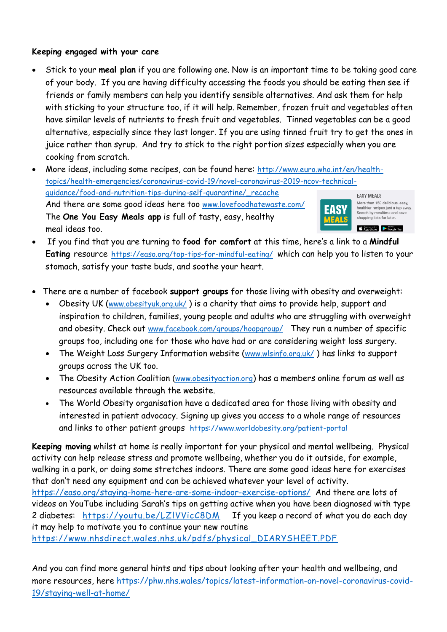## **Keeping engaged with your care**

- Stick to your **meal plan** if you are following one. Now is an important time to be taking good care of your body. If you are having difficulty accessing the foods you should be eating then see if friends or family members can help you identify sensible alternatives. And ask them for help with sticking to your structure too, if it will help. Remember, frozen fruit and vegetables often have similar levels of nutrients to fresh fruit and vegetables. Tinned vegetables can be a good alternative, especially since they last longer. If you are using tinned fruit try to get the ones in juice rather than syrup. And try to stick to the right portion sizes especially when you are cooking from scratch.
- More ideas, including some recipes, can be found here: [http://www.euro.who.int/en/health](http://www.euro.who.int/en/health-topics/health-emergencies/coronavirus-covid-19/novel-coronavirus-2019-ncov-technical-guidance/food-and-nutrition-tips-during-self-quarantine/_recache)[topics/health-emergencies/coronavirus-covid-19/novel-coronavirus-2019-ncov-technical](http://www.euro.who.int/en/health-topics/health-emergencies/coronavirus-covid-19/novel-coronavirus-2019-ncov-technical-guidance/food-and-nutrition-tips-during-self-quarantine/_recache)[guidance/food-and-nutrition-tips-during-self-quarantine/\\_recache](http://www.euro.who.int/en/health-topics/health-emergencies/coronavirus-covid-19/novel-coronavirus-2019-ncov-technical-guidance/food-and-nutrition-tips-during-self-quarantine/_recache)  **FASY MEALS** And there are some good ideas here too [www.lovefoodhatewaste.com/](http://www.lovefoodhatewaste.com/) More than 150 delicious, easy, EASY healthier recipes just a tap away Search by mealtime and save<br>shopping lists for later. The **One You Easy Meals app** is full of tasty, easy, healthy meal ideas too. A Second of the Second Party
- If you find that you are turning to **food for comfort** at this time, here's a link to a **Mindful Eating** resource <https://easo.org/top-tips-for-mindful-eating/>which can help you to listen to your stomach, satisfy your taste buds, and soothe your heart.
- There are a number of facebook **support groups** for those living with obesity and overweight:
	- Obesity UK ([www.obesityuk.org.uk/](http://www.obesityuk.org.uk/)) is a charity that aims to provide help, support and inspiration to children, families, young people and adults who are struggling with overweight and obesity. Check out [www.facebook.com/groups/hoopgroup/](http://www.facebook.com/groups/hoopgroup/) They run a number of specific groups too, including one for those who have had or are considering weight loss surgery.
	- The Weight Loss Surgery Information website ([www.wlsinfo.org.uk/](http://www.wlsinfo.org.uk/)) has links to support groups across the UK too.
	- The Obesity Action Coalition [\(www.obesityaction.org](http://www.obesityaction.org/)) has a members online forum as well as resources available through the website.
	- The World Obesity organisation have a dedicated area for those living with obesity and interested in patient advocacy. Signing up gives you access to a whole range of resources and links to other patient groups <https://www.worldobesity.org/patient-portal>

**Keeping moving** whilst at home is really important for your physical and mental wellbeing. Physical activity can help release stress and promote wellbeing, whether you do it outside, for example, walking in a park, or doing some stretches indoors. There are some good ideas here for exercises that don't need any equipment and can be achieved whatever your level of activity. <https://easo.org/staying-home-here-are-some-indoor-exercise-options/> And there are lots of videos on YouTube including Sarah's tips on getting active when you have been diagnosed with type 2 diabetes: https://youtu.be/LZIVVicC8DM If you keep a record of what you do each day it may help to motivate you to continue your new routine [https://www.nhsdirect.wales.nhs.uk/pdfs/physical\\_DIARYSHEET.PDF](https://www.nhsdirect.wales.nhs.uk/pdfs/physical_DIARYSHEET.PDF)

And you can find more general hints and tips about looking after your health and wellbeing, and more resources, here [https://phw.nhs.wales/topics/latest-information-on-novel-coronavirus-covid-](https://phw.nhs.wales/topics/latest-information-on-novel-coronavirus-covid-19/staying-well-at-home/)[19/staying-well-at-home/](https://phw.nhs.wales/topics/latest-information-on-novel-coronavirus-covid-19/staying-well-at-home/)